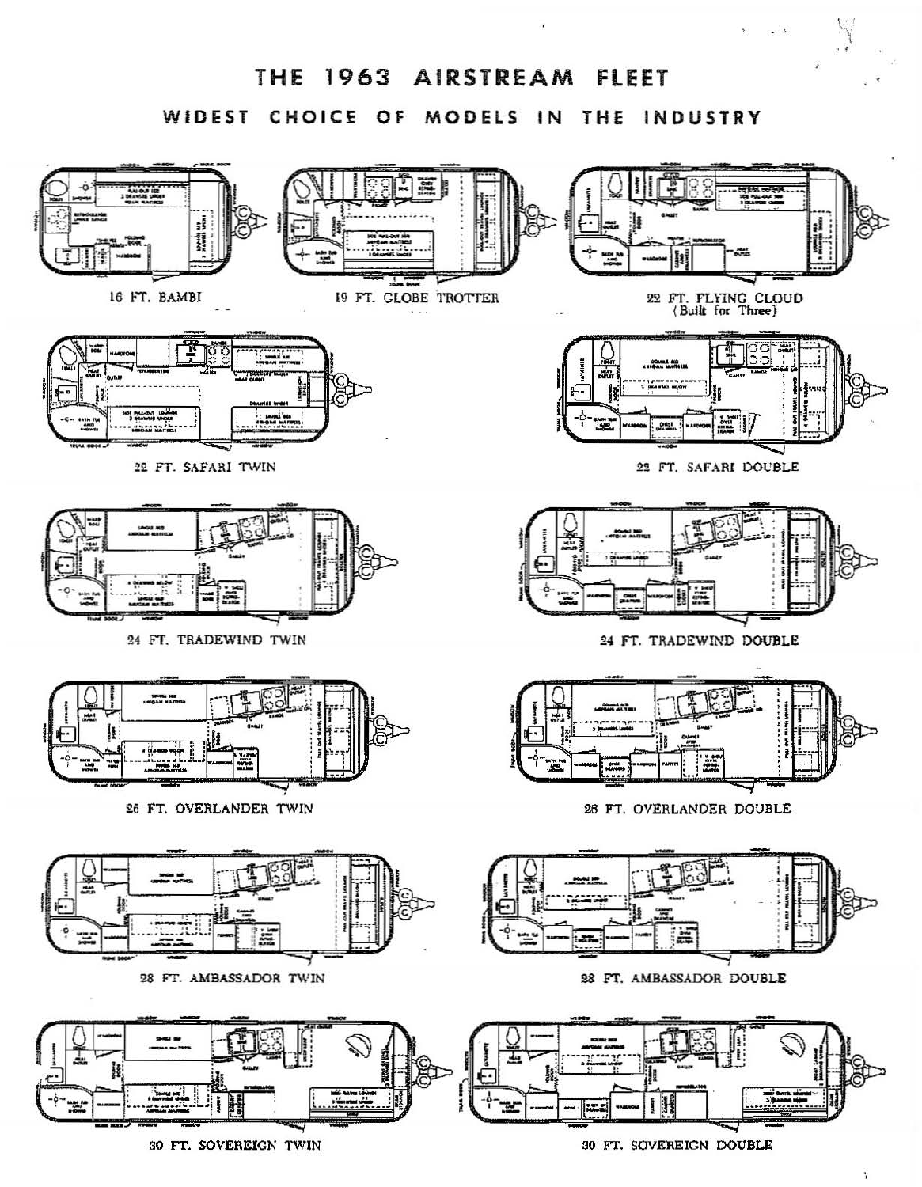

30 FT. SOVEREIGN TWIN

Ŷ.

 $\cdot$   $\cdot$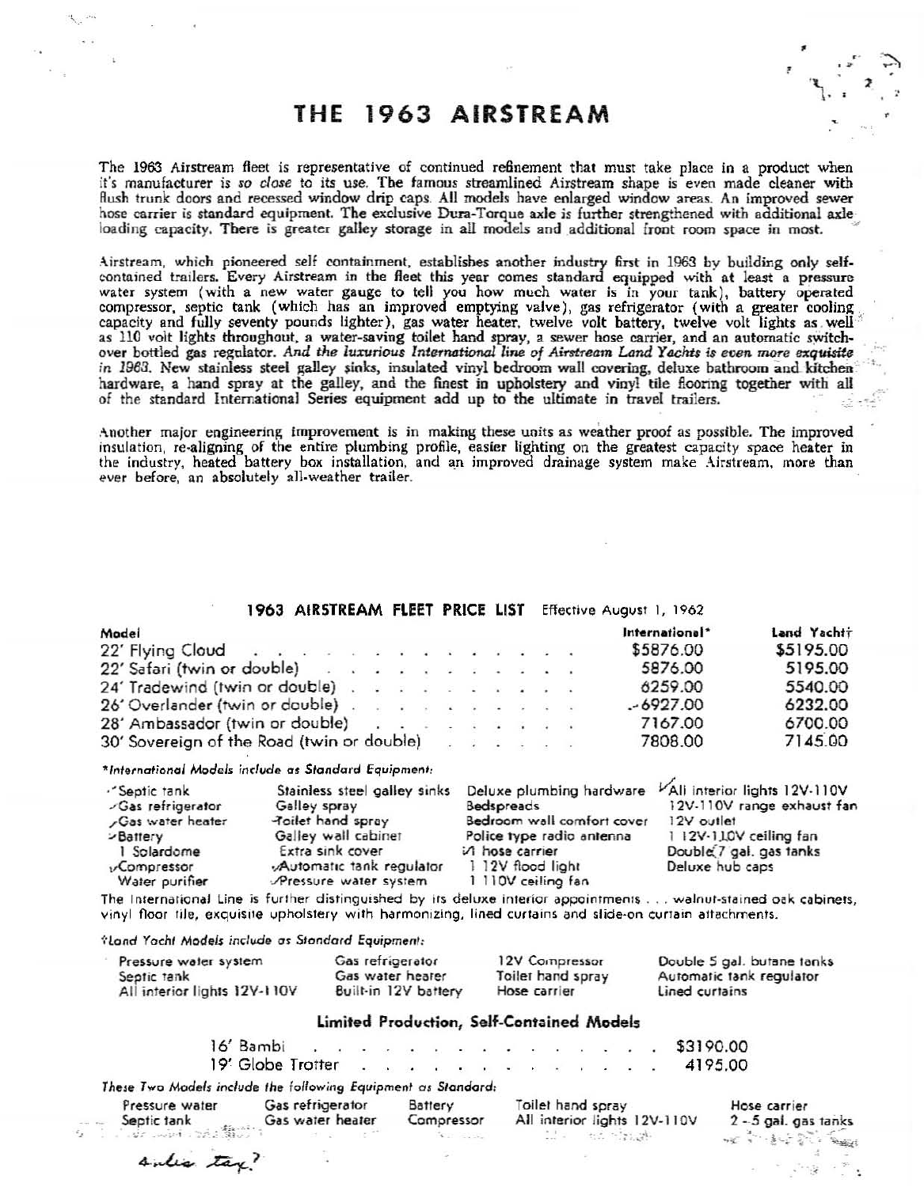# THE 1963 AIRSTREAM

The 1963 Airstream fleet is representative of continued refinement that must take place in a product when it's manufacturer is *so close* to its use. The famous streamlined Airstream shape is even made cleaner with flush trunk doors and recessed window drip caps. All models have enlarged window areas. An improved sewer hose carrier is standard equipment. The exclusive Dura-Torque axle is further strengthened with additional axle loading capacity. There is greater galley storage in all models and additional front room space in most.

Airstream, which pioneered self conlajnment. establishes another industry fint in 1963 by building only selfcontained trailers. *Every* Airstream in the fleet this year comes standard equipped with at least a pressure water system (with a new water gauge to tell you how much water is in your tank), battery operated compressor, septic tank (which has an improved emptying valve), gas refrigerator (with a greater cooling capacity and fully seventy pounds lighter), gas water heater, twelve volt battery, twelve volt lights as well as 110 volt lights throughout, a water-saving toilet hand spray, a sewer hose carrier, and an automatic switchover bottled gas regulator. And the luxurious International line of Airstream Land Yachts is even more exquisite in 1963. New stainless steel galley sinks, insulated vinyl bedroom wall covering, deluxe bathroom and kitchen hardware, a hand spray at the galley, and the finest in upholstery and vinyl tile flooring together with all of the standard International Series equipment add up to the ultimate in travel trailers.

Another major engineering improvement is in making these units as weather proof as possible. The improved insulation, re·aligning of the entire plumbing profile, easier lighting on the greatest capacity space heater in the industry, heated battery box installation, and an improved drainage system make Airstream, more than ever before, an absolutely all-weather trailer.

### 1963 AIRSTREAM FLEET PRICE LIST Effective August 1, 1962

| Model                                                                                                                                                                                                                          |  |  |  |  | International* | Land Yachtr |
|--------------------------------------------------------------------------------------------------------------------------------------------------------------------------------------------------------------------------------|--|--|--|--|----------------|-------------|
| $22'$ Flying Cloud                                                                                                                                                                                                             |  |  |  |  | \$5876.00      | \$5195.00   |
| 22' Safari (twin or double)                                                                                                                                                                                                    |  |  |  |  | 5876.00        | 5195.00     |
| 24' Tradewind (twin or double)                                                                                                                                                                                                 |  |  |  |  | 6259.00        | 5540.00     |
| 26' Overlander (twin or double) and a subset of the set of the set of the set of the set of the set of the set of the set of the set of the set of the set of the set of the set of the set of the set of the set of the set o |  |  |  |  | $-6927.00$     | 6232.00     |
| 28' Ambassador (twin or double) and a series and a series of the series of the series of the series of the series of the series of the series of the series of the series of the series of the series of the series of the ser |  |  |  |  | 7167.00        | 6700.00     |
| 30' Sovereign of the Road (twin or double)                                                                                                                                                                                     |  |  |  |  | 7808.00        | 7145.00     |

\*International Models include as Standard Equipment:

| ."Septic tank     | Stainless steel galley sinks |                            | Deluxe plumbing hardware VAII interior lights 12V-110V |
|-------------------|------------------------------|----------------------------|--------------------------------------------------------|
| -Gas refrigerator | Galley spray                 | Bedspreads                 | 12V-110V range exhaust fan                             |
| Gas water heater  | Poilet hand spray            | Bedroom wall comfort cover | 12V outlet                                             |
| <b>Dattery</b>    | Galley wall cabinet          | Police type radio antenna  | 1 12V-110V ceiling fan                                 |
| 1 Solardome       | Extra sink cover             | A hose carrier             | Double 7 gal. gas tanks                                |
| vCompressor       | Automatic tank regulator     | 1 12V flood light          | Deluxe hub caps                                        |
| Water purifier    | Pressure water system        | 1 110V ceiling fan         |                                                        |

The International Line is further distinguished by its deluxe interior appointments ... walnut-stained oak cabinets, vinyl floor tile, exquisite upholstery with harmonizing, lined curtains and slide-on curtain attachments.

-:-Lond roell, *Mod.J\$* indud. en *Standard Equipment:*

| Pressure water system        | Gas refrigerator     | 12V Compressor    | Double 5 gal. butane tanks |  |
|------------------------------|----------------------|-------------------|----------------------------|--|
| Septic tank                  | Gas water hearer     | Toilet hand spray | Automatic tank regulator   |  |
| All interior lights 12V-110V | Built-in 12V battery | Hose carrier      | Lined curtains             |  |

#### Limited Production, Self-Contained Models

\$3190.00 4195.00 16' Bambi 19' Globe Trotter These Two Models include the following *Equipment* as Standard:

 $\sim$ 

Pressure water Gas refrigerator Battery Seplic 1ank . GO' waler healer Compressor " ~.~ 0" .'.".: ~;i;·\_··;

Toilet hand spray All interior lights 12V-110V  $\mathbb{Z}$  .  $\mathbb{R}$  , the stands

Hose carrier  $2 - 5$  gal. gas tanks  $\sim$ e...  $\sim$   $\sim$   $\sim$   $\sim$   $\sim$   $\sim$ 

.. .. ,

,

>.  $\sim$ 

sulis tax?